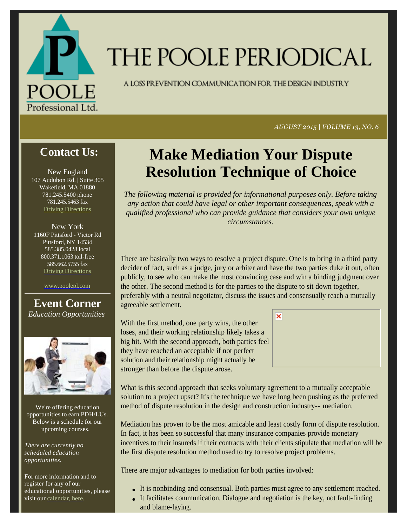

# THE POOLE PERIODICAL

A LOSS PREVENTION COMMUNICATION FOR THE DESIGN INDUSTRY

*AUGUST 2015 | VOLUME 13, NO. 6*

## **Contact Us:**

New England 107 Audubon Rd. | Suite 305 Wakefield, MA 01880 781.245.5400 phone 781.245.5463 fax Driving Directions

New York 1160F Pittsford - Victor Rd Pittsford, NY 14534 585.385.0428 local 800.371.1063 toll-free 585.662.5755 fax Driving Directions

www.poolepl.com

#### **Event Corner** *Education Opportunities*



We're offering education opportunities to earn PDH/LUs. Below is a schedule for our upcoming courses.

*There are currently no scheduled education opportunities.*

For more information and to register for any of our educational opportunities, please visit our calendar, here.

## **Make Mediation Your Dispute Resolution Technique of Choice**

*The following material is provided for informational purposes only. Before taking any action that could have legal or other important consequences, speak with a qualified professional who can provide guidance that considers your own unique circumstances.*

There are basically two ways to resolve a project dispute. One is to bring in a third party decider of fact, such as a judge, jury or arbiter and have the two parties duke it out, often publicly, to see who can make the most convincing case and win a binding judgment over the other. The second method is for the parties to the dispute to sit down together, preferably with a neutral negotiator, discuss the issues and consensually reach a mutually agreeable settlement.

With the first method, one party wins, the other loses, and their working relationship likely takes a big hit. With the second approach, both parties feel they have reached an acceptable if not perfect solution and their relationship might actually be stronger than before the dispute arose.





What is this second approach that seeks voluntary agreement to a mutually acceptable solution to a project upset? It's the technique we have long been pushing as the preferred method of dispute resolution in the design and construction industry-- mediation.

Mediation has proven to be the most amicable and least costly form of dispute resolution. In fact, it has been so successful that many insurance companies provide monetary incentives to their insureds if their contracts with their clients stipulate that mediation will be the first dispute resolution method used to try to resolve project problems.

There are major advantages to mediation for both parties involved:

- It is nonbinding and consensual. Both parties must agree to any settlement reached.
- It facilitates communication. Dialogue and negotiation is the key, not fault-finding and blame-laying.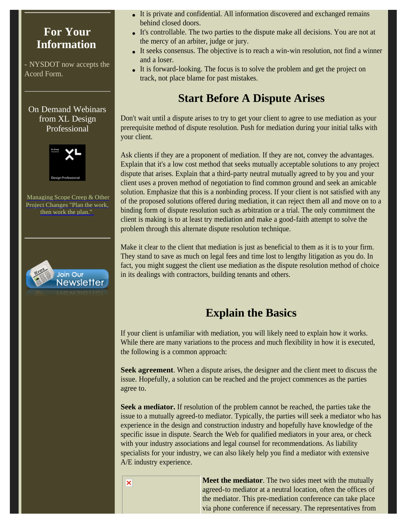### **For Your Information**

- NYSDOT now accepts the Acord Form.

On Demand Webinars from XL Design Professional



Managing Scope Creep & Other Project Changes "Plan the work, then work the plan."



- It is private and confidential. All information discovered and exchanged remains behind closed doors.
- It's controllable. The two parties to the dispute make all decisions. You are not at the mercy of an arbiter, judge or jury.
- It seeks consensus. The objective is to reach a win-win resolution, not find a winner and a loser.
- It is forward-looking. The focus is to solve the problem and get the project on track, not place blame for past mistakes.

## **Start Before A Dispute Arises**

Don't wait until a dispute arises to try to get your client to agree to use mediation as your prerequisite method of dispute resolution. Push for mediation during your initial talks with your client.

Ask clients if they are a proponent of mediation. If they are not, convey the advantages. Explain that it's a low cost method that seeks mutually acceptable solutions to any project dispute that arises. Explain that a third-party neutral mutually agreed to by you and your client uses a proven method of negotiation to find common ground and seek an amicable solution. Emphasize that this is a nonbinding process. If your client is not satisfied with any of the proposed solutions offered during mediation, it can reject them all and move on to a binding form of dispute resolution such as arbitration or a trial. The only commitment the client is making is to at least try mediation and make a good-faith attempt to solve the problem through this alternate dispute resolution technique.

Make it clear to the client that mediation is just as beneficial to them as it is to your firm. They stand to save as much on legal fees and time lost to lengthy litigation as you do. In fact, you might suggest the client use mediation as the dispute resolution method of choice in its dealings with contractors, building tenants and others.

## **Explain the Basics**

If your client is unfamiliar with mediation, you will likely need to explain how it works. While there are many variations to the process and much flexibility in how it is executed, the following is a common approach:

**Seek agreement**. When a dispute arises, the designer and the client meet to discuss the issue. Hopefully, a solution can be reached and the project commences as the parties agree to.

**Seek a mediator.** If resolution of the problem cannot be reached, the parties take the issue to a mutually agreed-to mediator. Typically, the parties will seek a mediator who has experience in the design and construction industry and hopefully have knowledge of the specific issue in dispute. Search the Web for qualified mediators in your area, or check with your industry associations and legal counsel for recommendations. As liability specialists for your industry, we can also likely help you find a mediator with extensive A/E industry experience.

> **Meet the mediator**. The two sides meet with the mutually agreed-to mediator at a neutral location, often the offices of the mediator. This pre-mediation conference can take place via phone conference if necessary. The representatives from

 $\overline{\mathbf{x}}$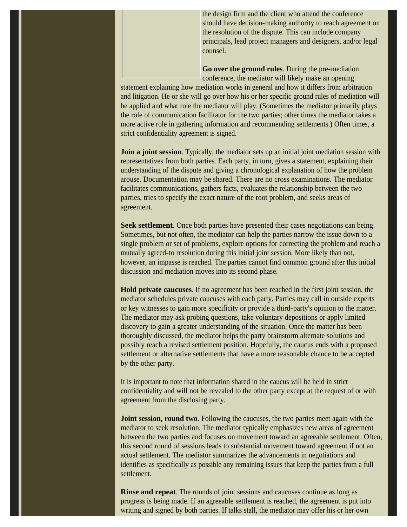the design firm and the client who attend the conference should have decision-making authority to reach agreement on the resolution of the dispute. This can include company principals, lead project managers and designers, and/or legal counsel.

**Go over the ground rules**. During the pre-mediation conference, the mediator will likely make an opening

statement explaining how mediation works in general and how it differs from arbitration and litigation. He or she will go over how his or her specific ground rules of mediation will be applied and what role the mediator will play. (Sometimes the mediator primarily plays the role of communication facilitator for the two parties; other times the mediator takes a more active role in gathering information and recommending settlements.) Often times, a strict confidentiality agreement is signed.

**Join a joint session**. Typically, the mediator sets up an initial joint mediation session with representatives from both parties. Each party, in turn, gives a statement, explaining their understanding of the dispute and giving a chronological explanation of how the problem arouse. Documentation may be shared. There are no cross examinations. The mediator facilitates communications, gathers facts, evaluates the relationship between the two parties, tries to specify the exact nature of the root problem, and seeks areas of agreement.

**Seek settlement**. Once both parties have presented their cases negotiations can being. Sometimes, but not often, the mediator can help the parties narrow the issue down to a single problem or set of problems, explore options for correcting the problem and reach a mutually agreed-to resolution during this initial joint session. More likely than not, however, an impasse is reached. The parties cannot find common ground after this initial discussion and mediation moves into its second phase.

**Hold private caucuses**. If no agreement has been reached in the first joint session, the mediator schedules private caucuses with each party. Parties may call in outside experts or key witnesses to gain more specificity or provide a third-party's opinion to the matter. The mediator may ask probing questions, take voluntary depositions or apply limited discovery to gain a greater understanding of the situation. Once the matter has been thoroughly discussed, the mediator helps the party brainstorm alternate solutions and possibly reach a revised settlement position. Hopefully, the caucus ends with a proposed settlement or alternative settlements that have a more reasonable chance to be accepted by the other party.

It is important to note that information shared in the caucus will be held in strict confidentiality and will not be revealed to the other party except at the request of or with agreement from the disclosing party.

**Joint session, round two**. Following the caucuses, the two parties meet again with the mediator to seek resolution. The mediator typically emphasizes new areas of agreement between the two parties and focuses on movement toward an agreeable settlement. Often, this second round of sessions leads to substantial movement toward agreement if not an actual settlement. The mediator summarizes the advancements in negotiations and identifies as specifically as possible any remaining issues that keep the parties from a full settlement.

**Rinse and repeat**. The rounds of joint sessions and caucuses continue as long as progress is being made. If an agreeable settlement is reached, the agreement is put into writing and signed by both parties. If talks stall, the mediator may offer his or her own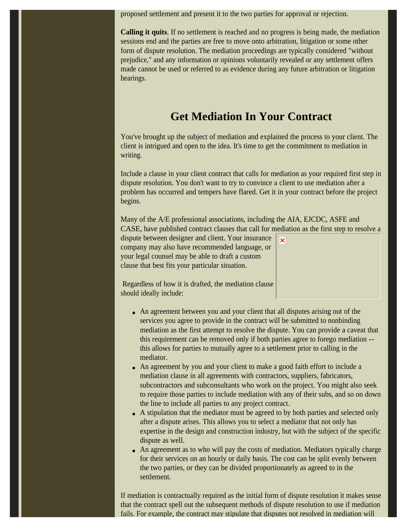proposed settlement and present it to the two parties for approval or rejection.

**Calling it quits**. If no settlement is reached and no progress is being made, the mediation sessions end and the parties are free to move onto arbitration, litigation or some other form of dispute resolution. The mediation proceedings are typically considered "without prejudice," and any information or opinions voluntarily revealed or any settlement offers made cannot be used or referred to as evidence during any future arbitration or litigation hearings.

#### **Get Mediation In Your Contract**

You've brought up the subject of mediation and explained the process to your client. The client is intrigued and open to the idea. It's time to get the commitment to mediation in writing.

Include a clause in your client contract that calls for mediation as your required first step in dispute resolution. You don't want to try to convince a client to use mediation after a problem has occurred and tempers have flared. Get it in your contract before the project begins.

Many of the A/E professional associations, including the AIA, EJCDC, ASFE and CASE, have published contract clauses that call for mediation as the first step to resolve a

×

dispute between designer and client. Your insurance company may also have recommended language, or your legal counsel may be able to draft a custom clause that best fits your particular situation.

 Regardless of how it is drafted, the mediation clause should ideally include:

- An agreement between you and your client that all disputes arising out of the services you agree to provide in the contract will be submitted to nonbinding mediation as the first attempt to resolve the dispute. You can provide a caveat that this requirement can be removed only if both parties agree to forego mediation - this allows for parties to mutually agree to a settlement prior to calling in the mediator.
- An agreement by you and your client to make a good faith effort to include a mediation clause in all agreements with contractors, suppliers, fabricators, subcontractors and subconsultants who work on the project. You might also seek to require those parties to include mediation with any of their subs, and so on down the line to include all parties to any project contract.
- A stipulation that the mediator must be agreed to by both parties and selected only after a dispute arises. This allows you to select a mediator that not only has expertise in the design and construction industry, but with the subject of the specific dispute as well.
- An agreement as to who will pay the costs of mediation. Mediators typically charge for their services on an hourly or daily basis. The cost can be split evenly between the two parties, or they can be divided proportionately as agreed to in the settlement.

If mediation is contractually required as the initial form of dispute resolution it makes sense that the contract spell out the subsequent methods of dispute resolution to use if mediation fails. For example, the contract may stipulate that disputes not resolved in mediation will